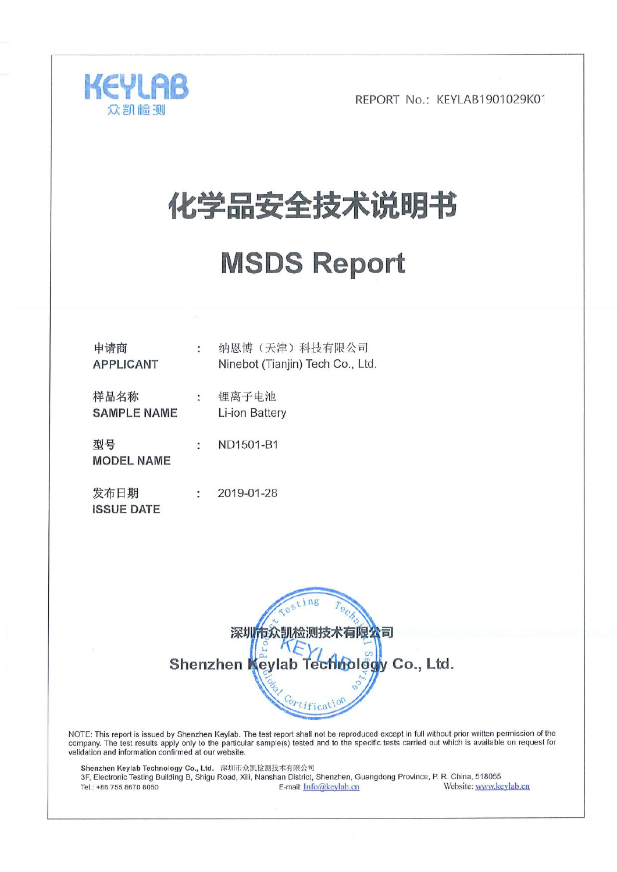

# 化学品安全技术说明书

# **MSDS Report**

| 申请商<br><b>APPLICANT</b>    | $\ddot{\phantom{0}}$ | 纳恩博(天津)科技有限公司<br>Ninebot (Tianjin) Tech Co., Ltd |
|----------------------------|----------------------|--------------------------------------------------|
| 样品名称<br><b>SAMPLE NAME</b> | ÷                    | 锂离子电池<br>Li-ion Battery                          |
| 型号<br><b>MODEL NAME</b>    | t                    | ND1501-B1                                        |
| 发布日期<br><b>ISSUE DATE</b>  | ÷                    | 2019-01-28                                       |



NOTE: This report is issued by Shenzhen Keylab. The test report shall not be reproduced except in full without prior written permission of the company. The test results apply only to the particular sample(s) tested and to validation and information confirmed at our website.

Shenzhen Keylab Technology Co., Ltd. 深圳市众凯检测技术有限公司 3F, Electronic Testing Building B, Shigu Road, Xili, Nanshan District, Shenzhen, Guangdong Province, P. R. China, 518055 Website: www.keylab.cn Tel.: +86 755 8670 8050 E-mail: Info@keylab.cn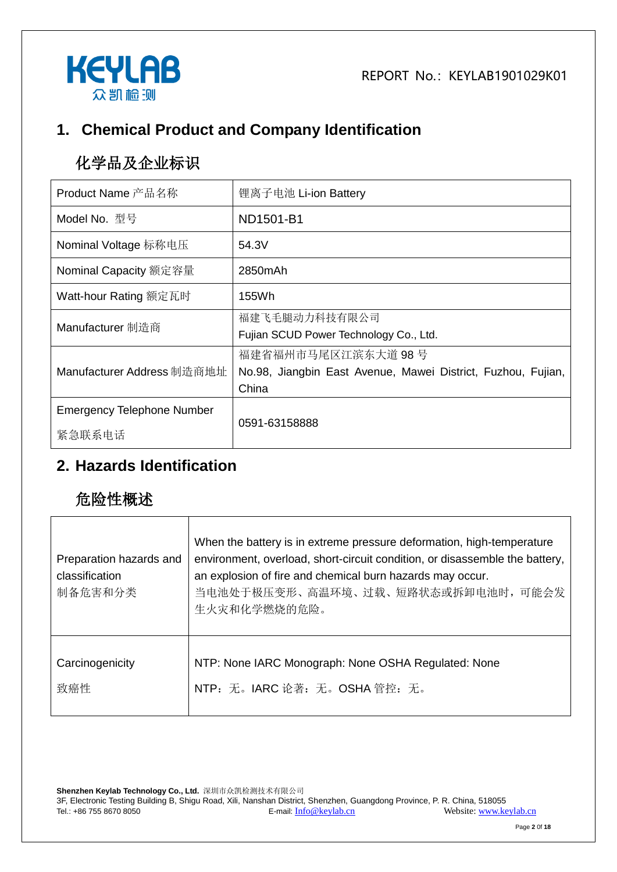

## **1. Chemical Product and Company Identification**

# 化学品及企业标识

| Product Name 产品名称                           | 锂离子电池 Li-ion Battery                                                                        |
|---------------------------------------------|---------------------------------------------------------------------------------------------|
| Model No. 型号                                | ND1501-B1                                                                                   |
| Nominal Voltage 标称电压                        | 54.3V                                                                                       |
| Nominal Capacity 额定容量                       | 2850mAh                                                                                     |
| Watt-hour Rating 额定瓦时                       | 155Wh                                                                                       |
| Manufacturer 制造商                            | 福建飞毛腿动力科技有限公司<br>Fujian SCUD Power Technology Co., Ltd.                                     |
| Manufacturer Address 制造商地址                  | 福建省福州市马尾区江滨东大道 98号<br>No.98, Jiangbin East Avenue, Mawei District, Fuzhou, Fujian,<br>China |
| <b>Emergency Telephone Number</b><br>紧急联系电话 | 0591-63158888                                                                               |

#### **2. Hazards Identification**

## 危险性概述

| Preparation hazards and<br>classification<br>制备危害和分类 | When the battery is in extreme pressure deformation, high-temperature<br>environment, overload, short-circuit condition, or disassemble the battery,<br>an explosion of fire and chemical burn hazards may occur.<br>当电池处于极压变形、高温环境、过载、短路状态或拆卸电池时, 可能会发<br>生火灾和化学燃烧的危险。 |
|------------------------------------------------------|-------------------------------------------------------------------------------------------------------------------------------------------------------------------------------------------------------------------------------------------------------------------------|
| Carcinogenicity                                      | NTP: None IARC Monograph: None OSHA Regulated: None                                                                                                                                                                                                                     |
| 致癌性                                                  | NTP: 无。IARC 论著: 无。OSHA 管控: 无。                                                                                                                                                                                                                                           |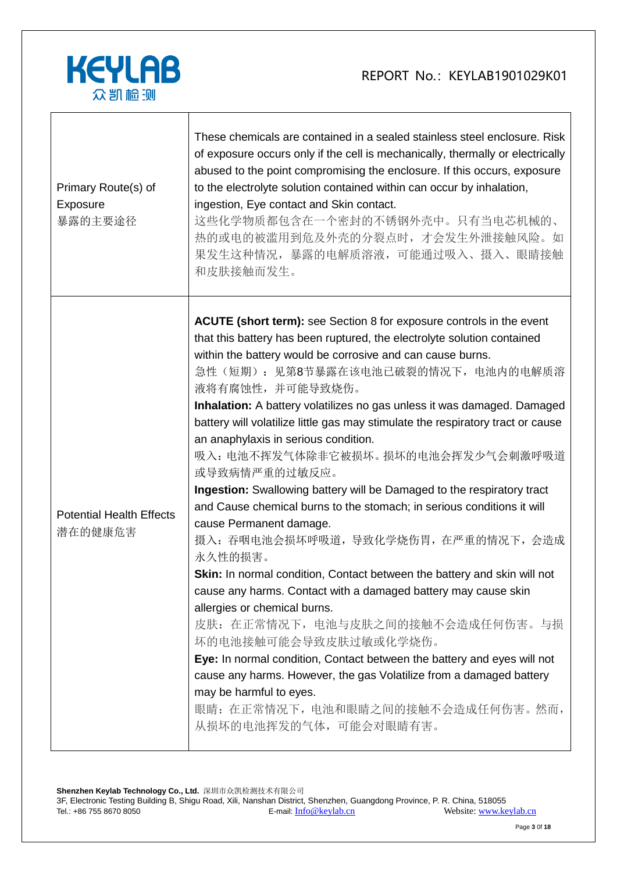

| Primary Route(s) of<br>Exposure<br>暴露的主要途径 | These chemicals are contained in a sealed stainless steel enclosure. Risk<br>of exposure occurs only if the cell is mechanically, thermally or electrically<br>abused to the point compromising the enclosure. If this occurs, exposure<br>to the electrolyte solution contained within can occur by inhalation,<br>ingestion, Eye contact and Skin contact.<br>这些化学物质都包含在一个密封的不锈钢外壳中。只有当电芯机械的、<br>热的或电的被滥用到危及外壳的分裂点时, 才会发生外泄接触风险。如<br>果发生这种情况,暴露的电解质溶液,可能通过吸入、摄入、眼睛接触<br>和皮肤接触而发生。                                                                                                                                                                                                                                                                                                                                                                                                                                                                                                                                                                                                                                                                                                                                                                                    |
|--------------------------------------------|------------------------------------------------------------------------------------------------------------------------------------------------------------------------------------------------------------------------------------------------------------------------------------------------------------------------------------------------------------------------------------------------------------------------------------------------------------------------------------------------------------------------------------------------------------------------------------------------------------------------------------------------------------------------------------------------------------------------------------------------------------------------------------------------------------------------------------------------------------------------------------------------------------------------------------------------------------------------------------------------------------------------------------------------------------------------------------------------------------------------------------------------------------------------------------------------------------------------------------------------------------------------|
| <b>Potential Health Effects</b><br>潜在的健康危害 | <b>ACUTE (short term):</b> see Section 8 for exposure controls in the event<br>that this battery has been ruptured, the electrolyte solution contained<br>within the battery would be corrosive and can cause burns.<br>急性(短期): 见第8节暴露在该电池已破裂的情况下, 电池内的电解质溶<br>液将有腐蚀性,并可能导致烧伤。<br>Inhalation: A battery volatilizes no gas unless it was damaged. Damaged<br>battery will volatilize little gas may stimulate the respiratory tract or cause<br>an anaphylaxis in serious condition.<br>吸入: 电池不挥发气体除非它被损坏。损坏的电池会挥发少气会刺激呼吸道<br>或导致病情严重的过敏反应。<br>Ingestion: Swallowing battery will be Damaged to the respiratory tract<br>and Cause chemical burns to the stomach; in serious conditions it will<br>cause Permanent damage.<br>摄入: 吞咽电池会损坏呼吸道, 导致化学烧伤胃, 在严重的情况下, 会造成<br>永久性的损害。<br>Skin: In normal condition, Contact between the battery and skin will not<br>cause any harms. Contact with a damaged battery may cause skin<br>allergies or chemical burns.<br>皮肤: 在正常情况下, 电池与皮肤之间的接触不会造成任何伤害。与损<br>坏的电池接触可能会导致皮肤过敏或化学烧伤。<br>Eye: In normal condition, Contact between the battery and eyes will not<br>cause any harms. However, the gas Volatilize from a damaged battery<br>may be harmful to eyes.<br>眼睛: 在正常情况下, 电池和眼睛之间的接触不会造成任何伤害。然而,<br>从损坏的电池挥发的气体,可能会对眼睛有害。 |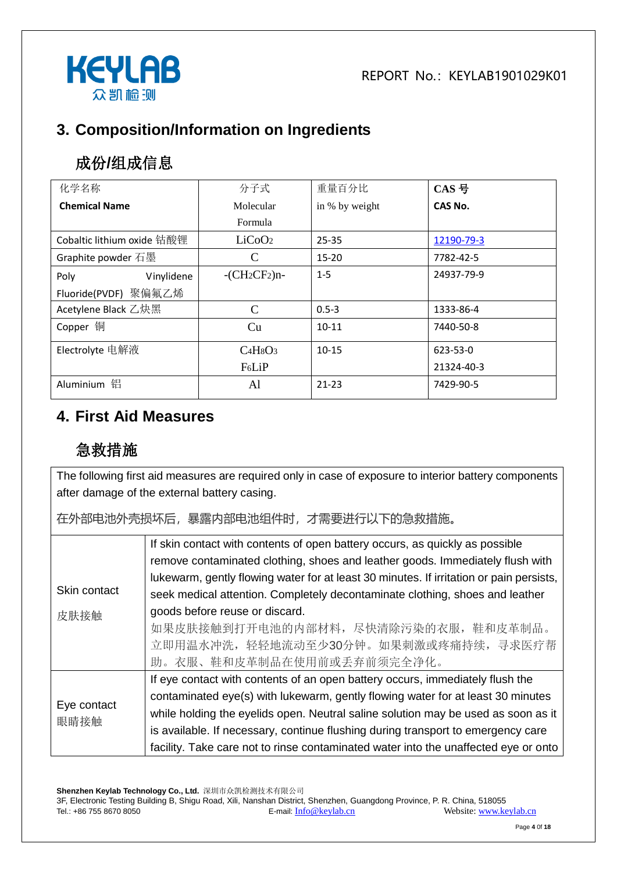

## **3. Composition/Information on Ingredients**

# 成份**/**组成信息

| 化学名称                       | 分子式                | 重量百分比          | CAS 号          |
|----------------------------|--------------------|----------------|----------------|
| <b>Chemical Name</b>       | Molecular          | in % by weight | CAS No.        |
|                            | Formula            |                |                |
| Cobaltic lithium oxide 钴酸锂 | LiCoO <sub>2</sub> | $25 - 35$      | 12190-79-3     |
| Graphite powder 石墨         | C                  | $15 - 20$      | 7782-42-5      |
| Poly<br>Vinylidene         | $-CH_2CF_2$ )n-    | $1 - 5$        | 24937-79-9     |
| Fluoride(PVDF) 聚偏氟乙烯       |                    |                |                |
| Acetylene Black 乙炔黑        | C                  | $0.5 - 3$      | 1333-86-4      |
| Copper 铜                   | Cu                 | $10 - 11$      | 7440-50-8      |
| Electrolyte 电解液            | $C4H8O3$           | $10 - 15$      | $623 - 53 - 0$ |
|                            | F <sub>6</sub> LiP |                | 21324-40-3     |
| 铝<br>Aluminium             | Al                 | $21 - 23$      | 7429-90-5      |

#### **4. First Aid Measures**

# 急救措施

The following first aid measures are required only in case of exposure to interior battery components after damage of the external battery casing.

在外部电池外壳损坏后,暴露内部电池组件时,才需要进行以下的急救措施。

|                     | If skin contact with contents of open battery occurs, as quickly as possible            |
|---------------------|-----------------------------------------------------------------------------------------|
|                     | remove contaminated clothing, shoes and leather goods. Immediately flush with           |
|                     | lukewarm, gently flowing water for at least 30 minutes. If irritation or pain persists, |
| Skin contact        | seek medical attention. Completely decontaminate clothing, shoes and leather            |
| 皮肤接触                | goods before reuse or discard.                                                          |
|                     | 如果皮肤接触到打开电池的内部材料,尽快清除污染的衣服,鞋和皮革制品。                                                      |
|                     | 立即用温水冲洗,轻轻地流动至少30分钟。如果刺激或疼痛持续,寻求医疗帮                                                     |
|                     | 助。衣服、鞋和皮革制品在使用前或丢弃前须完全净化。                                                               |
|                     |                                                                                         |
|                     | If eye contact with contents of an open battery occurs, immediately flush the           |
| Eye contact<br>眼睛接触 | contaminated eye(s) with lukewarm, gently flowing water for at least 30 minutes         |
|                     | while holding the eyelids open. Neutral saline solution may be used as soon as it       |
|                     | is available. If necessary, continue flushing during transport to emergency care        |
|                     | facility. Take care not to rinse contaminated water into the unaffected eye or onto     |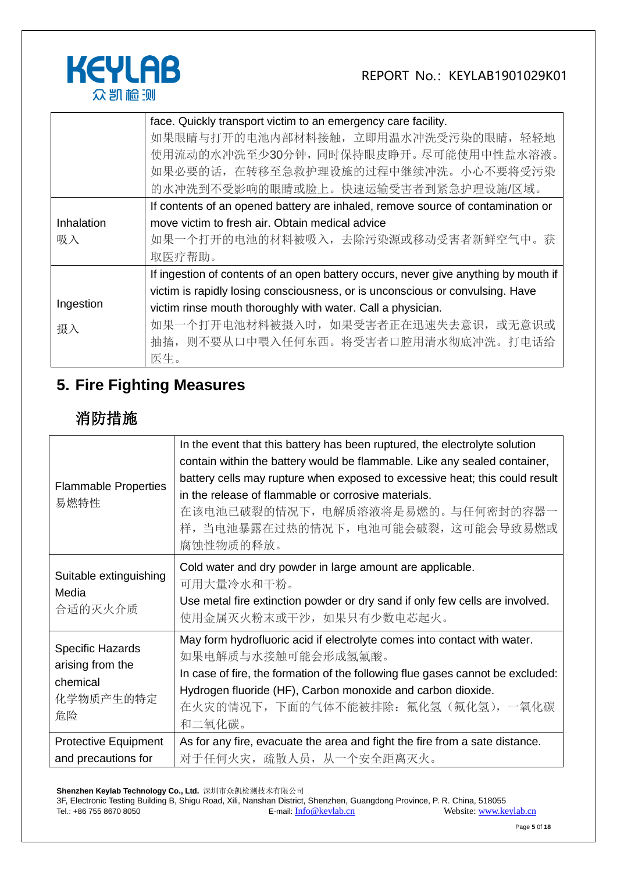

|            | face. Quickly transport victim to an emergency care facility.                       |  |  |
|------------|-------------------------------------------------------------------------------------|--|--|
|            | 如果眼睛与打开的电池内部材料接触, 立即用温水冲洗受污染的眼睛, 轻轻地                                                |  |  |
|            | 使用流动的水冲洗至少30分钟,同时保持眼皮睁开。尽可能使用中性盐水溶液。                                                |  |  |
|            | 如果必要的话, 在转移至急救护理设施的过程中继续冲洗。小心不要将受污染                                                 |  |  |
|            | 的水冲洗到不受影响的眼睛或脸上。快速运输受害者到紧急护理设施/区域。                                                  |  |  |
|            | If contents of an opened battery are inhaled, remove source of contamination or     |  |  |
| Inhalation | move victim to fresh air. Obtain medical advice                                     |  |  |
| 吸入         | 如果一个打开的电池的材料被吸入,去除污染源或移动受害者新鲜空气中。获                                                  |  |  |
|            | 取医疗帮助。                                                                              |  |  |
|            | If ingestion of contents of an open battery occurs, never give anything by mouth if |  |  |
|            | victim is rapidly losing consciousness, or is unconscious or convulsing. Have       |  |  |
| Ingestion  | victim rinse mouth thoroughly with water. Call a physician.                         |  |  |
| 摄入         | 如果一个打开电池材料被摄入时,如果受害者正在迅速失去意识,或无意识或                                                  |  |  |
|            | 抽搐,则不要从口中喂入任何东西。将受害者口腔用清水彻底冲洗。打电话给                                                  |  |  |
|            | 医生。                                                                                 |  |  |

# **5. Fire Fighting Measures**

# 消防措施

| <b>Flammable Properties</b><br>易燃特性                                        | In the event that this battery has been ruptured, the electrolyte solution<br>contain within the battery would be flammable. Like any sealed container,<br>battery cells may rupture when exposed to excessive heat; this could result<br>in the release of flammable or corrosive materials.<br>在该电池已破裂的情况下,电解质溶液将是易燃的。与任何密封的容器一<br>样, 当电池暴露在过热的情况下, 电池可能会破裂, 这可能会导致易燃或<br>腐蚀性物质的释放。 |
|----------------------------------------------------------------------------|---------------------------------------------------------------------------------------------------------------------------------------------------------------------------------------------------------------------------------------------------------------------------------------------------------------------------------------------------------------------------------------|
| Suitable extinguishing<br>Media<br>合适的灭火介质                                 | Cold water and dry powder in large amount are applicable.<br>可用大量冷水和干粉。<br>Use metal fire extinction powder or dry sand if only few cells are involved.<br>使用金属灭火粉末或干沙,如果只有少数电芯起火。                                                                                                                                                                                                    |
| <b>Specific Hazards</b><br>arising from the<br>chemical<br>化学物质产生的特定<br>危险 | May form hydrofluoric acid if electrolyte comes into contact with water.<br>如果电解质与水接触可能会形成氢氟酸。<br>In case of fire, the formation of the following flue gases cannot be excluded:<br>Hydrogen fluoride (HF), Carbon monoxide and carbon dioxide.<br>在火灾的情况下,下面的气体不能被排除: 氟化氢 (氟化氢),一氧化碳<br>和二氧化碳。                                                                                       |
| <b>Protective Equipment</b><br>and precautions for                         | As for any fire, evacuate the area and fight the fire from a sate distance.<br>对于任何火灾, 疏散人员, 从一个安全距离灭火。                                                                                                                                                                                                                                                                               |

**Shenzhen Keylab Technology Co., Ltd.** 深圳市众凯检测技术有限公司

3F, Electronic Testing Building B, Shigu Road, Xili, Nanshan District, Shenzhen, Guangdong Province, P. R. China, 518055 Tel.: +86 755 8670 8050 **E-mail:** [Info@keylab.cn](mailto:Info@keylab.cn) **E-mail:** E-mail: Info@keylab.cn **Website:** www.keylab.cn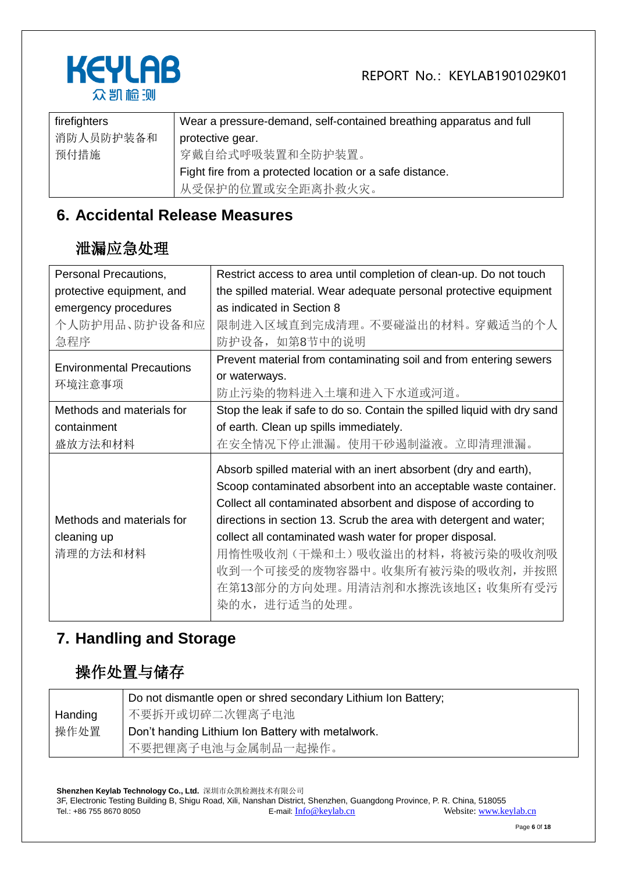



| firefighters | Wear a pressure-demand, self-contained breathing apparatus and full |
|--------------|---------------------------------------------------------------------|
| 消防人员防护装备和    | protective gear.                                                    |
| 预付措施         | 穿戴自给式呼吸装置和全防护装置。                                                    |
|              | Fight fire from a protected location or a safe distance.            |
|              | 从受保护的位置或安全距离扑救火灾。                                                   |

#### **6. Accidental Release Measures**

#### 泄漏应急处理

| Personal Precautions,            | Restrict access to area until completion of clean-up. Do not touch       |
|----------------------------------|--------------------------------------------------------------------------|
| protective equipment, and        | the spilled material. Wear adequate personal protective equipment        |
| emergency procedures             | as indicated in Section 8                                                |
| 个人防护用品、防护设备和应                    | 限制进入区域直到完成清理。不要碰溢出的材料。 穿戴适当的个人                                           |
| 急程序                              | 防护设备, 如第8节中的说明                                                           |
| <b>Environmental Precautions</b> | Prevent material from contaminating soil and from entering sewers        |
|                                  | or waterways.                                                            |
| 环境注意事项                           | 防止污染的物料进入土壤和进入下水道或河道。                                                    |
| Methods and materials for        | Stop the leak if safe to do so. Contain the spilled liquid with dry sand |
| containment                      | of earth. Clean up spills immediately.                                   |
| 盛放方法和材料                          | 在安全情况下停止泄漏。使用干砂遏制溢液。立即清理泄漏。                                              |
|                                  | Absorb spilled material with an inert absorbent (dry and earth),         |
|                                  | Scoop contaminated absorbent into an acceptable waste container.         |
|                                  | Collect all contaminated absorbent and dispose of according to           |
| Methods and materials for        | directions in section 13. Scrub the area with detergent and water;       |
| cleaning up                      | collect all contaminated wash water for proper disposal.                 |
| 清理的方法和材料                         | 用惰性吸收剂(干燥和土)吸收溢出的材料,将被污染的吸收剂吸                                            |
|                                  | 收到一个可接受的废物容器中。 收集所有被污染的吸收剂,并按照                                           |
|                                  | 在第13部分的方向处理。用清洁剂和水擦洗该地区; 收集所有受污                                          |
|                                  | 染的水, 进行适当的处理。                                                            |
|                                  |                                                                          |

#### **7. Handling and Storage**

# 操作处置与储存

|         | Do not dismantle open or shred secondary Lithium Ion Battery; |
|---------|---------------------------------------------------------------|
| Handing | 不要拆开或切碎二次锂离子电池                                                |
| 操作处置    | Don't handing Lithium Ion Battery with metalwork.             |
|         | 不要把锂离子电池与金属制品一起操作。                                            |

**Shenzhen Keylab Technology Co., Ltd.** 深圳市众凯检测技术有限公司 3F, Electronic Testing Building B, Shigu Road, Xili, Nanshan District, Shenzhen, Guangdong Province, P. R. China, 518055 Tel.: +86 755 8670 8050 E-mail: [Info@keylab.cn](mailto:Info@keylab.cn) Website[: www.keylab.cn](http://www.keylab.cn/)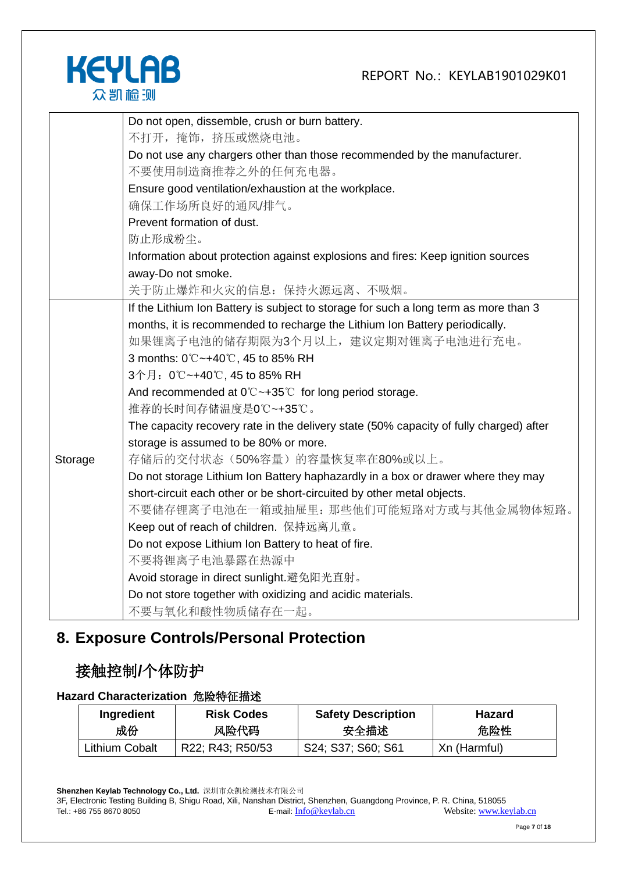

|         | Do not open, dissemble, crush or burn battery.                                         |
|---------|----------------------------------------------------------------------------------------|
|         | 不打开, 掩饰, 挤压或燃烧电池。                                                                      |
|         | Do not use any chargers other than those recommended by the manufacturer.              |
|         | 不要使用制造商推荐之外的任何充电器。                                                                     |
|         | Ensure good ventilation/exhaustion at the workplace.                                   |
|         | 确保工作场所良好的通风/排气。                                                                        |
|         | Prevent formation of dust.                                                             |
|         | 防止形成粉尘。                                                                                |
|         | Information about protection against explosions and fires: Keep ignition sources       |
|         | away-Do not smoke.                                                                     |
|         | 关于防止爆炸和火灾的信息: 保持火源远离、不吸烟。                                                              |
|         | If the Lithium Ion Battery is subject to storage for such a long term as more than 3   |
|         | months, it is recommended to recharge the Lithium Ion Battery periodically.            |
|         | 如果锂离子电池的储存期限为3个月以上,建议定期对锂离子电池进行充电。                                                     |
|         | 3 months: 0℃~+40℃, 45 to 85% RH                                                        |
|         | 3个月: 0℃~+40℃, 45 to 85% RH                                                             |
|         | And recommended at $0^{\circ}$ $\sim$ +35 $^{\circ}$ for long period storage.          |
|         | 推荐的长时间存储温度是0℃~+35℃。                                                                    |
|         | The capacity recovery rate in the delivery state (50% capacity of fully charged) after |
|         | storage is assumed to be 80% or more.                                                  |
| Storage | 存储后的交付状态(50%容量)的容量恢复率在80%或以上。                                                          |
|         | Do not storage Lithium Ion Battery haphazardly in a box or drawer where they may       |
|         | short-circuit each other or be short-circuited by other metal objects.                 |
|         | 不要储存锂离子电池在一箱或抽屉里: 那些他们可能短路对方或与其他金属物体短路。                                                |
|         | Keep out of reach of children. 保持远离儿童。                                                 |
|         | Do not expose Lithium Ion Battery to heat of fire.                                     |
|         | 不要将锂离子电池暴露在热源中                                                                         |
|         | Avoid storage in direct sunlight.避免阳光直射。                                               |
|         | Do not store together with oxidizing and acidic materials.                             |
|         | 不要与氧化和酸性物质储存在一起。                                                                       |

## **8. Exposure Controls/Personal Protection**

#### 接触控制**/**个体防护

#### **Hazard Characterization** 危险特征描述

| Ingredient     | <b>Risk Codes</b> | <b>Safety Description</b> | <b>Hazard</b> |
|----------------|-------------------|---------------------------|---------------|
| 成份             | 风险代码              | 安全描述                      | 危险性           |
| Lithium Cobalt | R22; R43; R50/53  | S24; S37; S60; S61        | Xn (Harmful)  |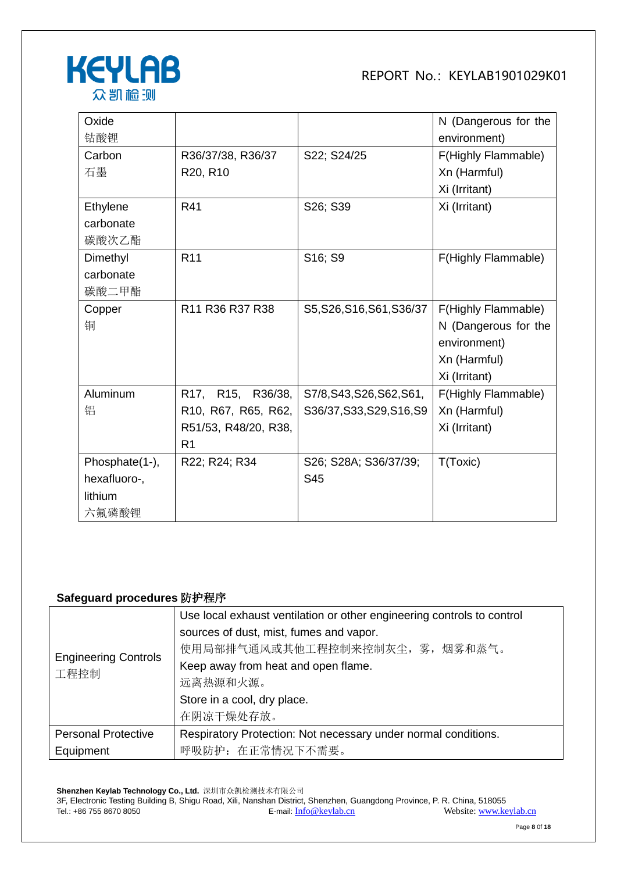

| Oxide          |                                                                 |                           | N (Dangerous for the |
|----------------|-----------------------------------------------------------------|---------------------------|----------------------|
| 钴酸锂            |                                                                 |                           | environment)         |
| Carbon         | R36/37/38, R36/37                                               | S22; S24/25               | F(Highly Flammable)  |
| 石墨             | R20, R10                                                        |                           | Xn (Harmful)         |
|                |                                                                 |                           | Xi (Irritant)        |
| Ethylene       | R41                                                             | S26; S39                  | Xi (Irritant)        |
| carbonate      |                                                                 |                           |                      |
| 碳酸次乙酯          |                                                                 |                           |                      |
| Dimethyl       | R <sub>11</sub>                                                 | S16; S9                   | F(Highly Flammable)  |
| carbonate      |                                                                 |                           |                      |
| 碳酸二甲酯          |                                                                 |                           |                      |
| Copper         | R <sub>11</sub> R <sub>36</sub> R <sub>37</sub> R <sub>38</sub> | S5, S26, S16, S61, S36/37 | F(Highly Flammable)  |
| 铜              |                                                                 |                           | N (Dangerous for the |
|                |                                                                 |                           | environment)         |
|                |                                                                 |                           | Xn (Harmful)         |
|                |                                                                 |                           | Xi (Irritant)        |
| Aluminum       | R17, R15, R36/38,                                               | S7/8, S43, S26, S62, S61, | F(Highly Flammable)  |
| 铝              | R10, R67, R65, R62,                                             | S36/37, S33, S29, S16, S9 | Xn (Harmful)         |
|                | R51/53, R48/20, R38,                                            |                           | Xi (Irritant)        |
|                | R <sub>1</sub>                                                  |                           |                      |
| Phosphate(1-), | R22; R24; R34                                                   | S26; S28A; S36/37/39;     | T(Toxic)             |
| hexafluoro-,   |                                                                 | S45                       |                      |
| lithium        |                                                                 |                           |                      |
| 六氟磷酸锂          |                                                                 |                           |                      |

#### **Safeguard procedures** 防护程序

|                               | Use local exhaust ventilation or other engineering controls to control |  |
|-------------------------------|------------------------------------------------------------------------|--|
|                               | sources of dust, mist, fumes and vapor.                                |  |
| <b>Engineering Controls</b>   | 使用局部排气通风或其他工程控制来控制灰尘, 雾, 烟雾和蒸气。                                        |  |
| 工程控制                          | Keep away from heat and open flame.                                    |  |
|                               | 远离热源和火源。                                                               |  |
|                               | Store in a cool, dry place.                                            |  |
|                               | 在阴凉干燥处存放。                                                              |  |
| <b>Personal Protective</b>    | Respiratory Protection: Not necessary under normal conditions.         |  |
| 呼吸防护: 在正常情况下不需要。<br>Equipment |                                                                        |  |

**Shenzhen Keylab Technology Co., Ltd.** 深圳市众凯检测技术有限公司 3F, Electronic Testing Building B, Shigu Road, Xili, Nanshan District, Shenzhen, Guangdong Province, P. R. China, 518055 Tel.: +86 755 8670 8050 **E-mail:** [Info@keylab.cn](mailto:Info@keylab.cn) Website[: www.keylab.cn](http://www.keylab.cn/)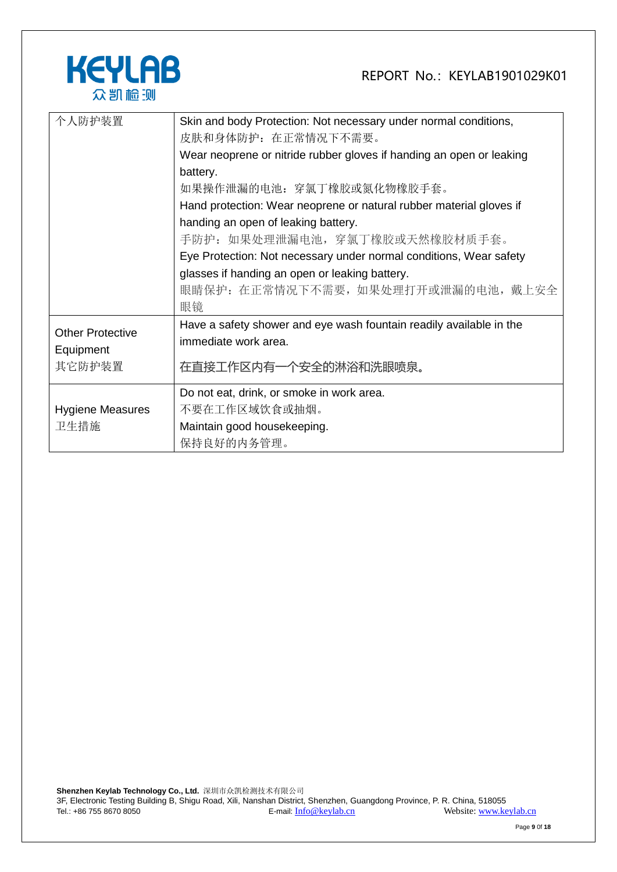

| 个人防护装置                               | Skin and body Protection: Not necessary under normal conditions,<br>皮肤和身体防护: 在正常情况下不需要。<br>Wear neoprene or nitride rubber gloves if handing an open or leaking |
|--------------------------------------|-----------------------------------------------------------------------------------------------------------------------------------------------------------------|
|                                      | battery.<br>如果操作泄漏的电池: 穿氯丁橡胶或氮化物橡胶手套。                                                                                                                           |
|                                      | Hand protection: Wear neoprene or natural rubber material gloves if<br>handing an open of leaking battery.                                                      |
|                                      | 手防护:如果处理泄漏电池,穿氯丁橡胶或天然橡胶材质手套。<br>Eye Protection: Not necessary under normal conditions, Wear safety                                                              |
|                                      | glasses if handing an open or leaking battery.<br>眼睛保护: 在正常情况下不需要, 如果处理打开或泄漏的电池, 戴上安全<br>眼镜                                                                     |
| <b>Other Protective</b><br>Equipment | Have a safety shower and eye wash fountain readily available in the<br>immediate work area.                                                                     |
| 其它防护装置                               | 在直接工作区内有一个安全的淋浴和洗眼喷泉。                                                                                                                                           |
|                                      | Do not eat, drink, or smoke in work area.                                                                                                                       |
| <b>Hygiene Measures</b>              | 不要在工作区域饮食或抽烟。                                                                                                                                                   |
| 卫生措施                                 | Maintain good housekeeping.<br>保持良好的内务管理。                                                                                                                       |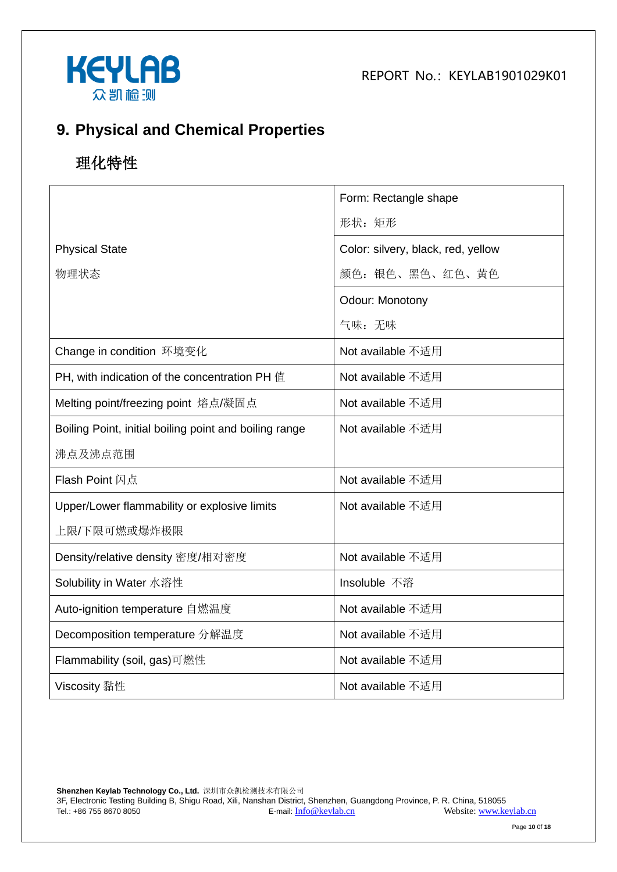



## **9. Physical and Chemical Properties**

# 理化特性

|                                                        | Form: Rectangle shape              |
|--------------------------------------------------------|------------------------------------|
|                                                        | 形状: 矩形                             |
| <b>Physical State</b>                                  | Color: silvery, black, red, yellow |
| 物理状态                                                   | 颜色: 银色、黑色、红色、黄色                    |
|                                                        | Odour: Monotony                    |
|                                                        | 气味:无味                              |
| Change in condition 环境变化                               | Not available 不适用                  |
| PH, with indication of the concentration PH 值          | Not available 不适用                  |
| Melting point/freezing point 熔点/凝固点                    | Not available 不适用                  |
| Boiling Point, initial boiling point and boiling range | Not available 不适用                  |
| 沸点及沸点范围                                                |                                    |
| <b>Flash Point 闪点</b>                                  | Not available 不适用                  |
| Upper/Lower flammability or explosive limits           | Not available 不适用                  |
| 上限/下限可燃或爆炸极限                                           |                                    |
| Density/relative density 密度/相对密度                       | Not available 不适用                  |
| Solubility in Water 水溶性                                | Insoluble 不溶                       |
| Auto-ignition temperature 自燃温度                         | Not available 不适用                  |
| Decomposition temperature 分解温度                         | Not available 不适用                  |
| Flammability (soil, gas)可燃性                            | Not available 不适用                  |
| Viscosity 黏性                                           | Not available 不适用                  |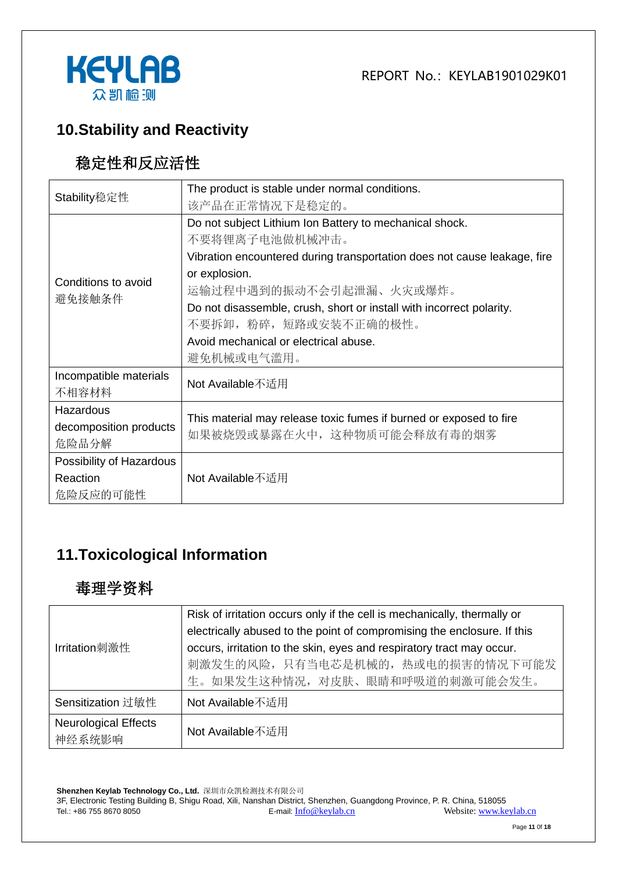



## **10.Stability and Reactivity**

## 稳定性和反应活性

| Stability稳定性             | The product is stable under normal conditions.                           |  |  |
|--------------------------|--------------------------------------------------------------------------|--|--|
|                          | 该产品在正常情况下是稳定的。                                                           |  |  |
|                          | Do not subject Lithium Ion Battery to mechanical shock.                  |  |  |
|                          | 不要将锂离子电池做机械冲击。                                                           |  |  |
|                          | Vibration encountered during transportation does not cause leakage, fire |  |  |
| Conditions to avoid      | or explosion.                                                            |  |  |
| 避免接触条件                   | 运输过程中遇到的振动不会引起泄漏、火灾或爆炸。                                                  |  |  |
|                          | Do not disassemble, crush, short or install with incorrect polarity.     |  |  |
|                          | 不要拆卸, 粉碎, 短路或安装不正确的极性。                                                   |  |  |
|                          | Avoid mechanical or electrical abuse.                                    |  |  |
|                          | 避免机械或电气滥用。                                                               |  |  |
| Incompatible materials   | Not Available不适用                                                         |  |  |
| 不相容材料                    |                                                                          |  |  |
| Hazardous                | This material may release toxic fumes if burned or exposed to fire       |  |  |
| decomposition products   | 如果被烧毁或暴露在火中, 这种物质可能会释放有毒的烟雾                                              |  |  |
| 危险品分解                    |                                                                          |  |  |
| Possibility of Hazardous |                                                                          |  |  |
| Reaction                 | Not Available不适用                                                         |  |  |
| 危险反应的可能性                 |                                                                          |  |  |

## **11.Toxicological Information**

#### 毒理学资料

|                             | Risk of irritation occurs only if the cell is mechanically, thermally or |  |  |
|-----------------------------|--------------------------------------------------------------------------|--|--|
|                             | electrically abused to the point of compromising the enclosure. If this  |  |  |
| Irritation刺激性               | occurs, irritation to the skin, eyes and respiratory tract may occur.    |  |  |
|                             | 刺激发生的风险, 只有当电芯是机械的, 热或电的损害的情况下可能发                                        |  |  |
|                             | 生。如果发生这种情况, 对皮肤、眼睛和呼吸道的刺激可能会发生。                                          |  |  |
| Sensitization 过敏性           | Not Available不适用                                                         |  |  |
| <b>Neurological Effects</b> | Not Available不适用                                                         |  |  |
| 神经系统影响                      |                                                                          |  |  |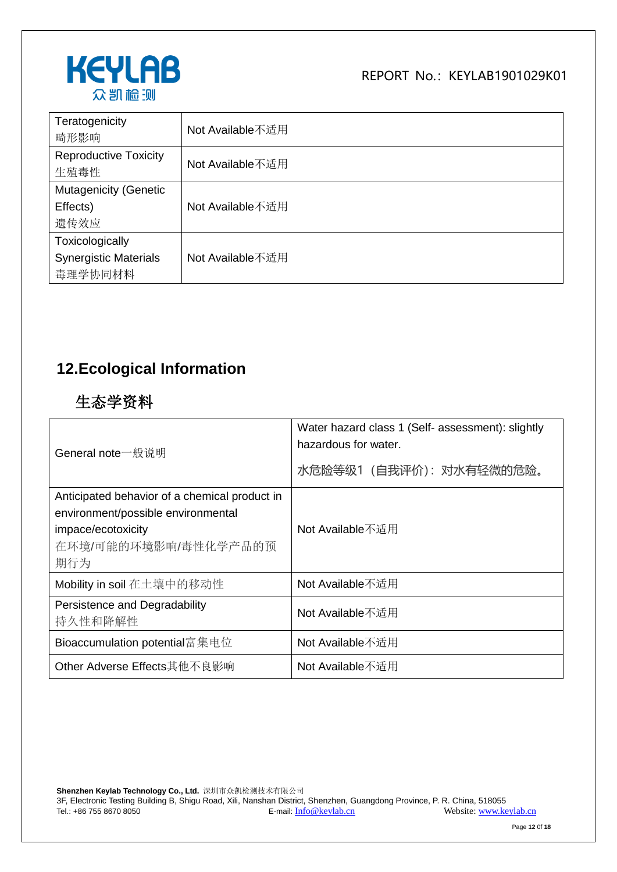

| Teratogenicity<br>畸形影响                                     | Not Available不适用 |
|------------------------------------------------------------|------------------|
| <b>Reproductive Toxicity</b><br>生殖毒性                       | Not Available不适用 |
| <b>Mutagenicity (Genetic</b><br>Effects)<br>遗传效应           | Not Available不适用 |
| Toxicologically<br><b>Synergistic Materials</b><br>毒理学协同材料 | Not Available不适用 |

## **12.Ecological Information**

## 生态学资料

| General note一般说明                                                                                                                         | Water hazard class 1 (Self- assessment): slightly<br>hazardous for water.<br>水危险等级1 (自我评价): 对水有轻微的危险。 |  |
|------------------------------------------------------------------------------------------------------------------------------------------|-------------------------------------------------------------------------------------------------------|--|
| Anticipated behavior of a chemical product in<br>environment/possible environmental<br>impace/ecotoxicity<br>在环境/可能的环境影响/毒性化学产品的预<br>期行为 | Not Available不适用                                                                                      |  |
| Mobility in soil 在土壤中的移动性                                                                                                                | Not Available不适用                                                                                      |  |
| Persistence and Degradability<br>持久性和降解性                                                                                                 | Not Available不适用                                                                                      |  |
| Bioaccumulation potential富集电位                                                                                                            | Not Available不适用                                                                                      |  |
| Other Adverse Effects其他不良影响                                                                                                              | Not Available不适用                                                                                      |  |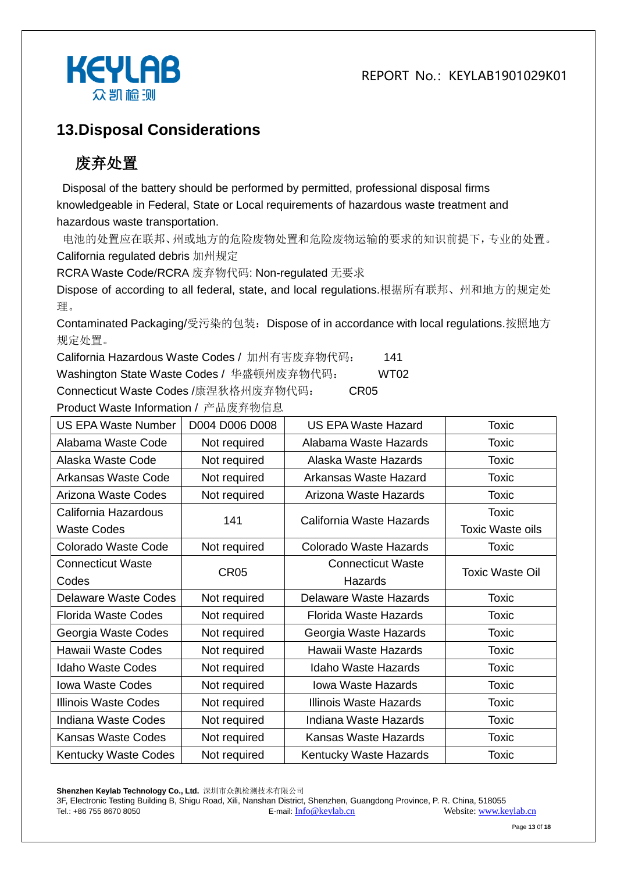

#### **13.Disposal Considerations**

# 废弃处置

Disposal of the battery should be performed by permitted, professional disposal firms knowledgeable in Federal, State or Local requirements of hazardous waste treatment and hazardous waste transportation.

电池的处置应在联邦、州或地方的危险废物处置和危险废物运输的要求的知识前提下,专业的处置。 California regulated debris 加州规定

RCRA Waste Code/RCRA 废弃物代码: Non-regulated 无要求

Dispose of according to all federal, state, and local regulations.根据所有联邦、州和地方的规定处 理。

Contaminated Packaging/受污染的包装:Dispose of in accordance with local regulations.按照地方 规定处置。

California Hazardous Waste Codes / 加州有害废弃物代码: 141

Washington State Waste Codes / 华盛顿州废弃物代码: WT02

Connecticut Waste Codes /康涅狄格州废弃物代码: CR05

Product Waste Information / 产品废弃物信息 US EPA Waste Number | D004 D006 D008 | US EPA Waste Hazard | Toxic Alabama Waste Code | Not required | Alabama Waste Hazards | Toxic Alaska Waste Code | Not required | Alaska Waste Hazards | Toxic Arkansas Waste Code | Not required | Arkansas Waste Hazard | Toxic Arizona Waste Codes | Not required | Arizona Waste Hazards | Toxic California Hazardous Waste Codes 141 California Waste Hazards Toxic Toxic Waste oils Colorado Waste Code | Not required | Colorado Waste Hazards | Toxic Connecticut Waste Codes CR05 Connecticut Waste **Hazards** Toxic Waste Oil Delaware Waste Codes | Not required | Delaware Waste Hazards | Toxic Florida Waste Codes | Not required | Florida Waste Hazards | Toxic Georgia Waste Codes | Not required | Georgia Waste Hazards | Toxic Hawaii Waste Codes | Not required | Hawaii Waste Hazards | Toxic Idaho Waste Codes | Not required | Idaho Waste Hazards | Toxic Iowa Waste Codes | Not required | Iowa Waste Hazards | Toxic Illinois Waste Codes | Not required | Illinois Waste Hazards | Toxic Indiana Waste Codes | Not required | Indiana Waste Hazards | Toxic Kansas Waste Codes | Not required | Kansas Waste Hazards | Toxic Kentucky Waste Codes Not required Kentucky Waste Hazards Noxic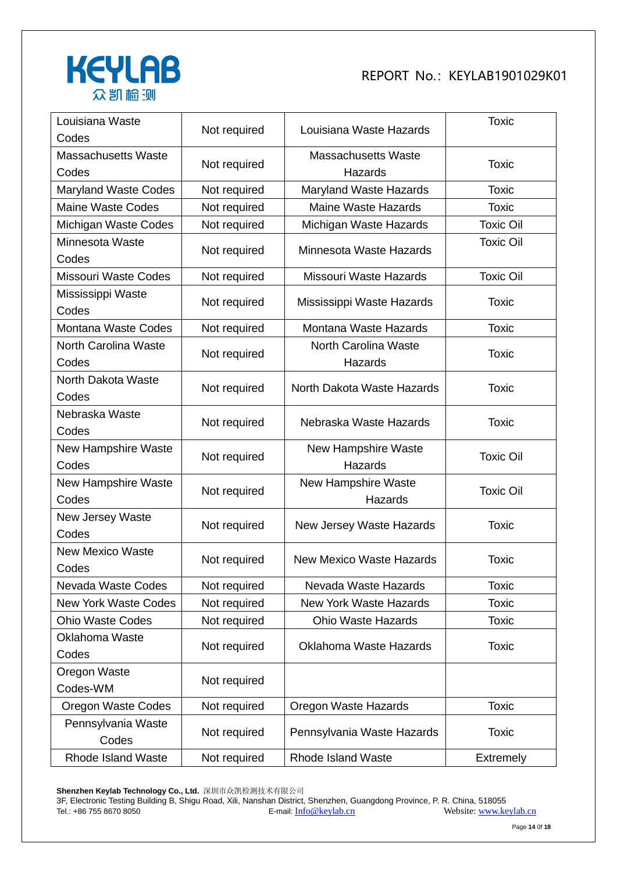

| Louisiana Waste<br>Codes            | Not required | Louisiana Waste Hazards               | <b>Toxic</b>     |
|-------------------------------------|--------------|---------------------------------------|------------------|
| <b>Massachusetts Waste</b><br>Codes | Not required | <b>Massachusetts Waste</b><br>Hazards | <b>Toxic</b>     |
| <b>Maryland Waste Codes</b>         | Not required | Maryland Waste Hazards                | <b>Toxic</b>     |
| <b>Maine Waste Codes</b>            | Not required | <b>Maine Waste Hazards</b>            | <b>Toxic</b>     |
| Michigan Waste Codes                | Not required | Michigan Waste Hazards                | <b>Toxic Oil</b> |
| Minnesota Waste<br>Codes            | Not required | Minnesota Waste Hazards               | <b>Toxic Oil</b> |
| <b>Missouri Waste Codes</b>         | Not required | Missouri Waste Hazards                | <b>Toxic Oil</b> |
| Mississippi Waste<br>Codes          | Not required | Mississippi Waste Hazards             | Toxic            |
| <b>Montana Waste Codes</b>          | Not required | Montana Waste Hazards                 | <b>Toxic</b>     |
| North Carolina Waste<br>Codes       | Not required | North Carolina Waste<br>Hazards       | <b>Toxic</b>     |
| North Dakota Waste<br>Codes         | Not required | North Dakota Waste Hazards            | <b>Toxic</b>     |
| Nebraska Waste<br>Codes             | Not required | Nebraska Waste Hazards                | <b>Toxic</b>     |
| <b>New Hampshire Waste</b><br>Codes | Not required | New Hampshire Waste<br>Hazards        | <b>Toxic Oil</b> |
| New Hampshire Waste<br>Codes        | Not required | <b>New Hampshire Waste</b><br>Hazards | <b>Toxic Oil</b> |
| New Jersey Waste<br>Codes           | Not required | New Jersey Waste Hazards              | <b>Toxic</b>     |
| <b>New Mexico Waste</b><br>Codes    | Not required | <b>New Mexico Waste Hazards</b>       | <b>Toxic</b>     |
| Nevada Waste Codes                  | Not required | Nevada Waste Hazards                  | <b>Toxic</b>     |
| <b>New York Waste Codes</b>         | Not required | <b>New York Waste Hazards</b>         | <b>Toxic</b>     |
| <b>Ohio Waste Codes</b>             | Not required | <b>Ohio Waste Hazards</b>             | <b>Toxic</b>     |
| Oklahoma Waste<br>Codes             | Not required | <b>Oklahoma Waste Hazards</b>         | <b>Toxic</b>     |
| Oregon Waste<br>Codes-WM            | Not required |                                       |                  |
| <b>Oregon Waste Codes</b>           | Not required | Oregon Waste Hazards                  | <b>Toxic</b>     |
| Pennsylvania Waste<br>Codes         | Not required | Pennsylvania Waste Hazards            | <b>Toxic</b>     |
| Rhode Island Waste                  | Not required | <b>Rhode Island Waste</b>             | Extremely        |

**Shenzhen Keylab Technology Co., Ltd.** 深圳市众凯检测技术有限公司

3F, Electronic Testing Building B, Shigu Road, Xili, Nanshan District, Shenzhen, Guangdong Province, P. R. China, 518055 Tel.: +86 755 8670 8050 **E-mail:** [Info@keylab.cn](mailto:Info@keylab.cn) Website[: www.keylab.cn](http://www.keylab.cn/)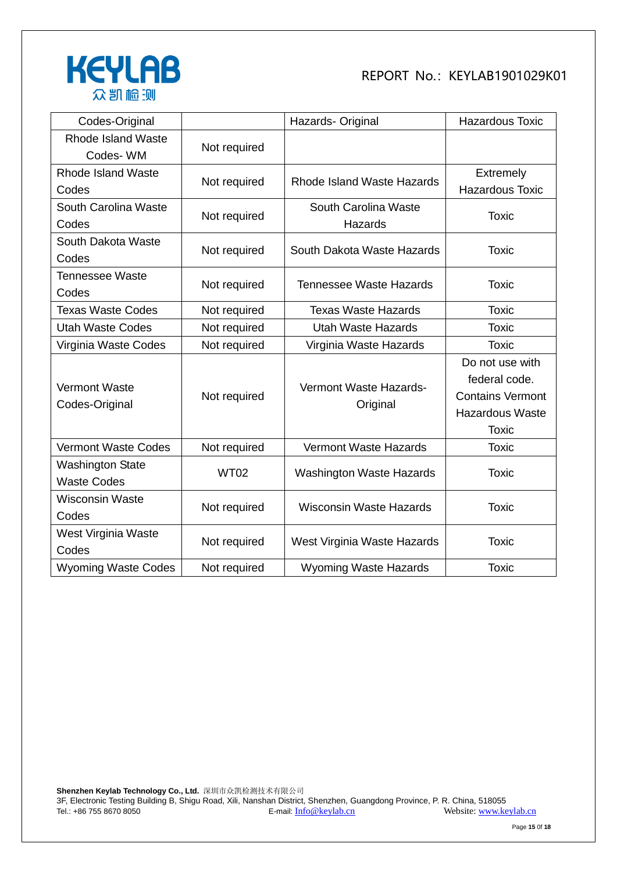

| Codes-Original             |              | Hazards- Original               | <b>Hazardous Toxic</b>  |
|----------------------------|--------------|---------------------------------|-------------------------|
| <b>Rhode Island Waste</b>  | Not required |                                 |                         |
| Codes-WM                   |              |                                 |                         |
| Rhode Island Waste         |              | Rhode Island Waste Hazards      | <b>Extremely</b>        |
| Codes                      | Not required |                                 | <b>Hazardous Toxic</b>  |
| South Carolina Waste       |              | South Carolina Waste            |                         |
| Codes                      | Not required | Hazards                         | <b>Toxic</b>            |
| South Dakota Waste         | Not required | South Dakota Waste Hazards      | <b>Toxic</b>            |
| Codes                      |              |                                 |                         |
| <b>Tennessee Waste</b>     | Not required | <b>Tennessee Waste Hazards</b>  | <b>Toxic</b>            |
| Codes                      |              |                                 |                         |
| <b>Texas Waste Codes</b>   | Not required | <b>Texas Waste Hazards</b>      | <b>Toxic</b>            |
| <b>Utah Waste Codes</b>    | Not required | <b>Utah Waste Hazards</b>       | <b>Toxic</b>            |
| Virginia Waste Codes       | Not required | Virginia Waste Hazards          | <b>Toxic</b>            |
|                            |              |                                 | Do not use with         |
| <b>Vermont Waste</b>       | Not required | Vermont Waste Hazards-          | federal code.           |
| Codes-Original             |              | Original                        | <b>Contains Vermont</b> |
|                            |              |                                 | <b>Hazardous Waste</b>  |
|                            |              |                                 | <b>Toxic</b>            |
| <b>Vermont Waste Codes</b> | Not required | <b>Vermont Waste Hazards</b>    | <b>Toxic</b>            |
| <b>Washington State</b>    | <b>WT02</b>  | <b>Washington Waste Hazards</b> | <b>Toxic</b>            |
| <b>Waste Codes</b>         |              |                                 |                         |
| <b>Wisconsin Waste</b>     | Not required | <b>Wisconsin Waste Hazards</b>  | <b>Toxic</b>            |
| Codes                      |              |                                 |                         |
| West Virginia Waste        | Not required | West Virginia Waste Hazards     | <b>Toxic</b>            |
| Codes                      |              |                                 |                         |
| <b>Wyoming Waste Codes</b> | Not required | <b>Wyoming Waste Hazards</b>    | <b>Toxic</b>            |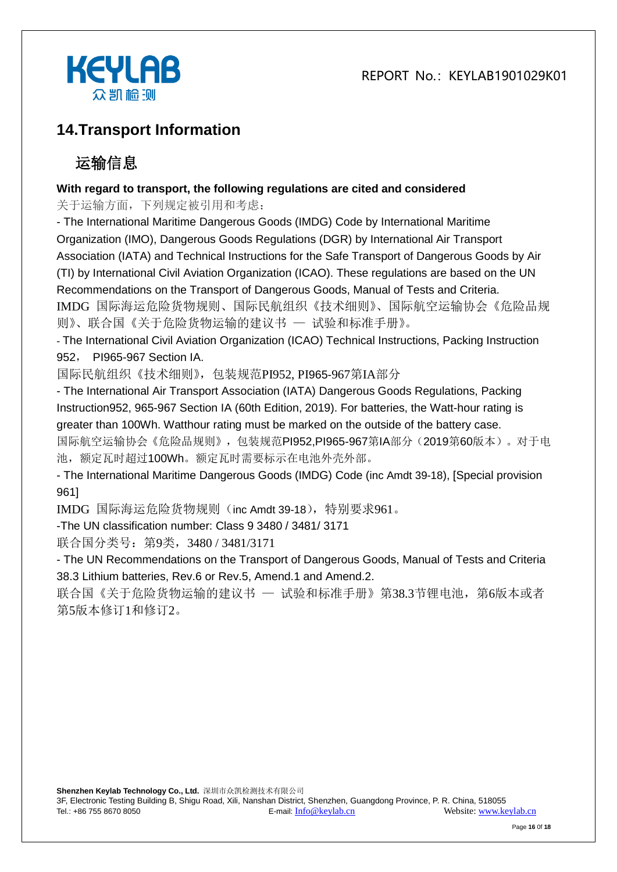

## **14.Transport Information**

# 运输信息

#### **With regard to transport, the following regulations are cited and considered**

关于运输方面,下列规定被引用和考虑:

- The International Maritime Dangerous Goods (IMDG) Code by International Maritime Organization (IMO), Dangerous Goods Regulations (DGR) by International Air Transport Association (IATA) and Technical Instructions for the Safe Transport of Dangerous Goods by Air (TI) by International Civil Aviation Organization (ICAO). These regulations are based on the UN Recommendations on the Transport of Dangerous Goods, Manual of Tests and Criteria. IMDG 国际海运危险货物规则、国际民航组织《技术细则》、国际航空运输协会《危险品规 则》、联合国《关于危险货物运输的建议书 — 试验和标准手册》。

- The International Civil Aviation Organization (ICAO) Technical Instructions, Packing Instruction 952, PI965-967 Section IA.

国际民航组织《技术细则》,包装规范PI952, PI965-967第IA部分

- The International Air Transport Association (IATA) Dangerous Goods Regulations, Packing Instruction952, 965-967 Section IA (60th Edition, 2019). For batteries, the Watt-hour rating is greater than 100Wh. Watthour rating must be marked on the outside of the battery case.

国际航空运输协会《危险品规则》,包装规范PI952,PI965-967第IA部分(2019第60版本)。对于电 池,额定瓦时超过100Wh。额定瓦时需要标示在电池外壳外部。

- The International Maritime Dangerous Goods (IMDG) Code (inc Amdt 39-18), [Special provision 961]

IMDG 国际海运危险货物规则(inc Amdt 39-18),特别要求961。

-The UN classification number: Class 9 3480 / 3481/ 3171

联合国分类号: 第9类, 3480 / 3481/3171

- The UN Recommendations on the Transport of Dangerous Goods, Manual of Tests and Criteria 38.3 Lithium batteries, Rev.6 or Rev.5, Amend.1 and Amend.2.

联合国《关于危险货物运输的建议书 一 试验和标准手册》第38.3节锂电池, 第6版本或者 第5版本修订1和修订2。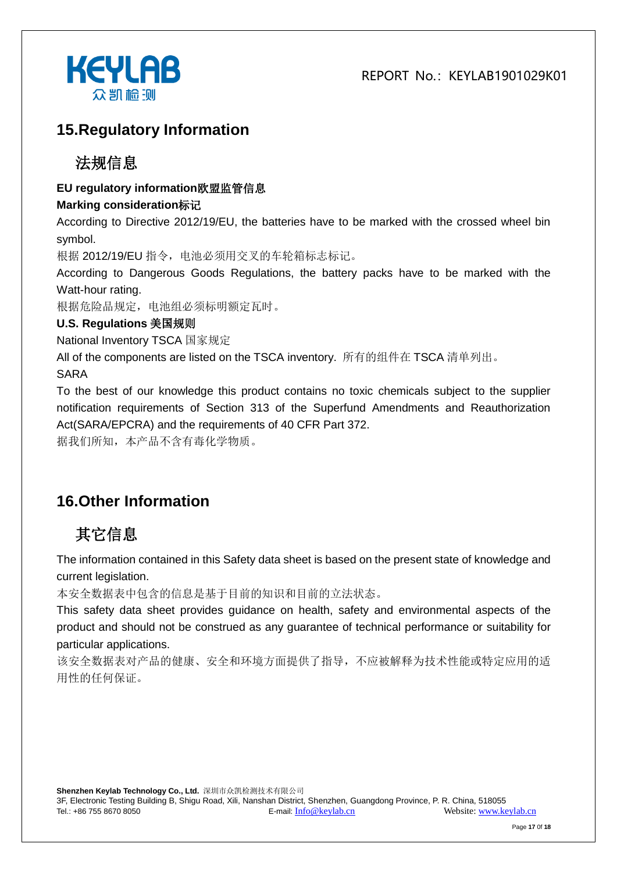

#### **15.Regulatory Information**

#### 法规信息

#### **EU regulatory information**欧盟监管信息

#### **Marking consideration**标记

According to Directive 2012/19/EU, the batteries have to be marked with the crossed wheel bin symbol.

根据 2012/19/EU 指令,电池必须用交叉的车轮箱标志标记。

According to Dangerous Goods Regulations, the battery packs have to be marked with the Watt-hour rating.

根据危险品规定,电池组必须标明额定瓦时。

#### **U.S. Regulations** 美国规则

National Inventory TSCA 国家规定

All of the components are listed on the TSCA inventory. 所有的组件在 TSCA 清单列出。

SARA

To the best of our knowledge this product contains no toxic chemicals subject to the supplier notification requirements of Section 313 of the Superfund Amendments and Reauthorization Act(SARA/EPCRA) and the requirements of 40 CFR Part 372.

据我们所知,本产品不含有毒化学物质。

## **16.Other Information**

# 其它信息

The information contained in this Safety data sheet is based on the present state of knowledge and current legislation.

本安全数据表中包含的信息是基于目前的知识和目前的立法状态。

This safety data sheet provides guidance on health, safety and environmental aspects of the product and should not be construed as any guarantee of technical performance or suitability for particular applications.

该安全数据表对产品的健康、安全和环境方面提供了指导,不应被解释为技术性能或特定应用的适 用性的任何保证。